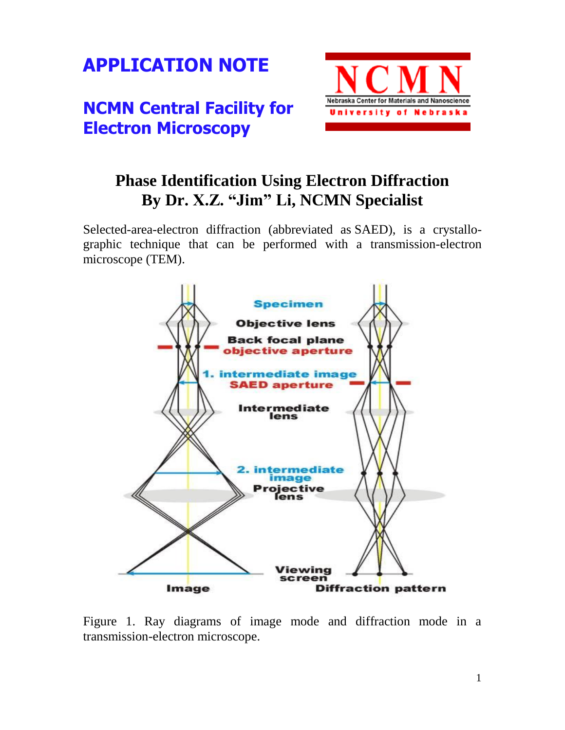

## **NCMN Central Facility for Electron Microscopy**



## **Phase Identification Using Electron Diffraction By Dr. X.Z. "Jim" Li, NCMN Specialist**

Selected-area-electron diffraction (abbreviated as SAED), is a [crystallo](http://en.wikipedia.org/wiki/Crystallography)[graphic](http://en.wikipedia.org/wiki/Crystallography) technique that can be performed with a [transmission-electron](http://en.wikipedia.org/wiki/Transmission_electron_microscope) [microscope](http://en.wikipedia.org/wiki/Transmission_electron_microscope) (TEM).



Figure 1. Ray diagrams of image mode and diffraction mode in a transmission-electron microscope.